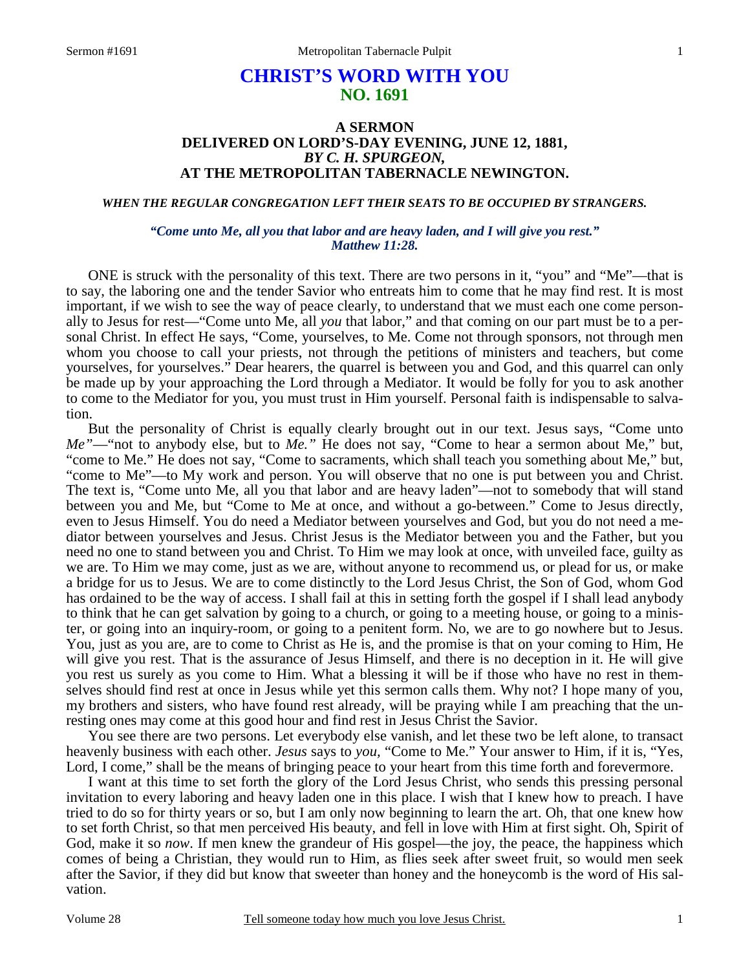# **CHRIST'S WORD WITH YOU NO. 1691**

## **A SERMON DELIVERED ON LORD'S-DAY EVENING, JUNE 12, 1881,**  *BY C. H. SPURGEON,*  **AT THE METROPOLITAN TABERNACLE NEWINGTON.**

*WHEN THE REGULAR CONGREGATION LEFT THEIR SEATS TO BE OCCUPIED BY STRANGERS.* 

#### *"Come unto Me, all you that labor and are heavy laden, and I will give you rest." Matthew 11:28.*

ONE is struck with the personality of this text. There are two persons in it, "you" and "Me"—that is to say, the laboring one and the tender Savior who entreats him to come that he may find rest. It is most important, if we wish to see the way of peace clearly, to understand that we must each one come personally to Jesus for rest—"Come unto Me, all *you* that labor," and that coming on our part must be to a personal Christ. In effect He says, "Come, yourselves, to Me. Come not through sponsors, not through men whom you choose to call your priests, not through the petitions of ministers and teachers, but come yourselves, for yourselves." Dear hearers, the quarrel is between you and God, and this quarrel can only be made up by your approaching the Lord through a Mediator. It would be folly for you to ask another to come to the Mediator for you, you must trust in Him yourself. Personal faith is indispensable to salvation.

 But the personality of Christ is equally clearly brought out in our text. Jesus says, "Come unto *Me"*—"not to anybody else, but to *Me."* He does not say, "Come to hear a sermon about Me," but, "come to Me." He does not say, "Come to sacraments, which shall teach you something about Me," but, "come to Me"—to My work and person. You will observe that no one is put between you and Christ. The text is, "Come unto Me, all you that labor and are heavy laden"—not to somebody that will stand between you and Me, but "Come to Me at once, and without a go-between." Come to Jesus directly, even to Jesus Himself. You do need a Mediator between yourselves and God, but you do not need a mediator between yourselves and Jesus. Christ Jesus is the Mediator between you and the Father, but you need no one to stand between you and Christ. To Him we may look at once, with unveiled face, guilty as we are. To Him we may come, just as we are, without anyone to recommend us, or plead for us, or make a bridge for us to Jesus. We are to come distinctly to the Lord Jesus Christ, the Son of God, whom God has ordained to be the way of access. I shall fail at this in setting forth the gospel if I shall lead anybody to think that he can get salvation by going to a church, or going to a meeting house, or going to a minister, or going into an inquiry-room, or going to a penitent form. No, we are to go nowhere but to Jesus. You, just as you are, are to come to Christ as He is, and the promise is that on your coming to Him, He will give you rest. That is the assurance of Jesus Himself, and there is no deception in it. He will give you rest us surely as you come to Him. What a blessing it will be if those who have no rest in themselves should find rest at once in Jesus while yet this sermon calls them. Why not? I hope many of you, my brothers and sisters, who have found rest already, will be praying while I am preaching that the unresting ones may come at this good hour and find rest in Jesus Christ the Savior.

 You see there are two persons. Let everybody else vanish, and let these two be left alone, to transact heavenly business with each other. *Jesus* says to *you,* "Come to Me." Your answer to Him, if it is, "Yes, Lord, I come," shall be the means of bringing peace to your heart from this time forth and forevermore.

 I want at this time to set forth the glory of the Lord Jesus Christ, who sends this pressing personal invitation to every laboring and heavy laden one in this place. I wish that I knew how to preach. I have tried to do so for thirty years or so, but I am only now beginning to learn the art. Oh, that one knew how to set forth Christ, so that men perceived His beauty, and fell in love with Him at first sight. Oh, Spirit of God, make it so *now*. If men knew the grandeur of His gospel—the joy, the peace, the happiness which comes of being a Christian, they would run to Him, as flies seek after sweet fruit, so would men seek after the Savior, if they did but know that sweeter than honey and the honeycomb is the word of His salvation.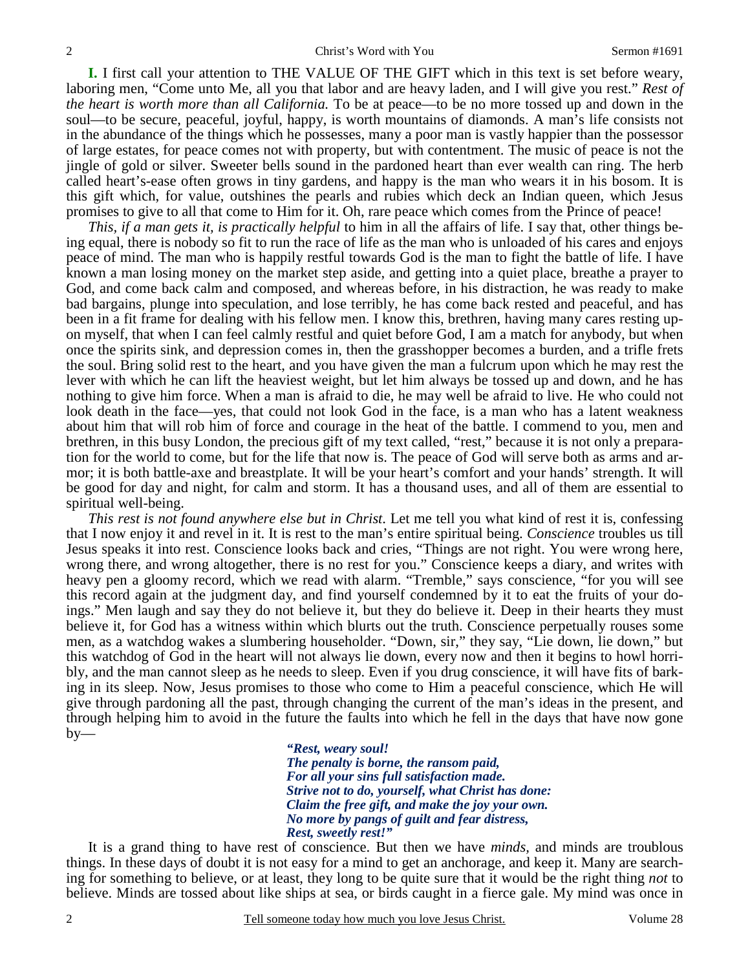**I.** I first call your attention to THE VALUE OF THE GIFT which in this text is set before weary, laboring men, "Come unto Me, all you that labor and are heavy laden, and I will give you rest." *Rest of the heart is worth more than all California.* To be at peace—to be no more tossed up and down in the soul—to be secure, peaceful, joyful, happy, is worth mountains of diamonds. A man's life consists not in the abundance of the things which he possesses, many a poor man is vastly happier than the possessor of large estates, for peace comes not with property, but with contentment. The music of peace is not the jingle of gold or silver. Sweeter bells sound in the pardoned heart than ever wealth can ring. The herb called heart's-ease often grows in tiny gardens, and happy is the man who wears it in his bosom. It is this gift which, for value, outshines the pearls and rubies which deck an Indian queen, which Jesus promises to give to all that come to Him for it. Oh, rare peace which comes from the Prince of peace!

*This, if a man gets it, is practically helpful* to him in all the affairs of life. I say that, other things being equal, there is nobody so fit to run the race of life as the man who is unloaded of his cares and enjoys peace of mind. The man who is happily restful towards God is the man to fight the battle of life. I have known a man losing money on the market step aside, and getting into a quiet place, breathe a prayer to God, and come back calm and composed, and whereas before, in his distraction, he was ready to make bad bargains, plunge into speculation, and lose terribly, he has come back rested and peaceful, and has been in a fit frame for dealing with his fellow men. I know this, brethren, having many cares resting upon myself, that when I can feel calmly restful and quiet before God, I am a match for anybody, but when once the spirits sink, and depression comes in, then the grasshopper becomes a burden, and a trifle frets the soul. Bring solid rest to the heart, and you have given the man a fulcrum upon which he may rest the lever with which he can lift the heaviest weight, but let him always be tossed up and down, and he has nothing to give him force. When a man is afraid to die, he may well be afraid to live. He who could not look death in the face—yes, that could not look God in the face, is a man who has a latent weakness about him that will rob him of force and courage in the heat of the battle. I commend to you, men and brethren, in this busy London, the precious gift of my text called, "rest," because it is not only a preparation for the world to come, but for the life that now is. The peace of God will serve both as arms and armor; it is both battle-axe and breastplate. It will be your heart's comfort and your hands' strength. It will be good for day and night, for calm and storm. It has a thousand uses, and all of them are essential to spiritual well-being.

*This rest is not found anywhere else but in Christ*. Let me tell you what kind of rest it is, confessing that I now enjoy it and revel in it. It is rest to the man's entire spiritual being. *Conscience* troubles us till Jesus speaks it into rest. Conscience looks back and cries, "Things are not right. You were wrong here, wrong there, and wrong altogether, there is no rest for you." Conscience keeps a diary, and writes with heavy pen a gloomy record, which we read with alarm. "Tremble," says conscience, "for you will see this record again at the judgment day, and find yourself condemned by it to eat the fruits of your doings." Men laugh and say they do not believe it, but they do believe it. Deep in their hearts they must believe it, for God has a witness within which blurts out the truth. Conscience perpetually rouses some men, as a watchdog wakes a slumbering householder. "Down, sir," they say, "Lie down, lie down," but this watchdog of God in the heart will not always lie down, every now and then it begins to howl horribly, and the man cannot sleep as he needs to sleep. Even if you drug conscience, it will have fits of barking in its sleep. Now, Jesus promises to those who come to Him a peaceful conscience, which He will give through pardoning all the past, through changing the current of the man's ideas in the present, and through helping him to avoid in the future the faults into which he fell in the days that have now gone  $by-$ 

> *"Rest, weary soul! The penalty is borne, the ransom paid, For all your sins full satisfaction made. Strive not to do, yourself, what Christ has done: Claim the free gift, and make the joy your own. No more by pangs of guilt and fear distress, Rest, sweetly rest!"*

It is a grand thing to have rest of conscience. But then we have *minds,* and minds are troublous things. In these days of doubt it is not easy for a mind to get an anchorage, and keep it. Many are searching for something to believe, or at least, they long to be quite sure that it would be the right thing *not* to believe. Minds are tossed about like ships at sea, or birds caught in a fierce gale. My mind was once in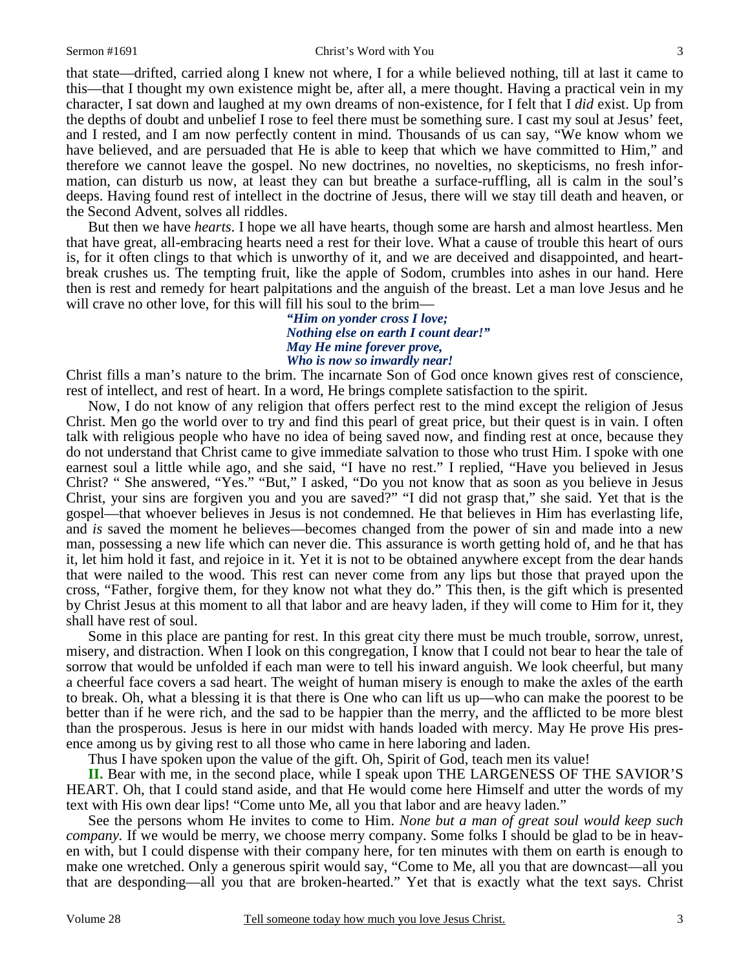that state—drifted, carried along I knew not where, I for a while believed nothing, till at last it came to this—that I thought my own existence might be, after all, a mere thought. Having a practical vein in my character, I sat down and laughed at my own dreams of non-existence, for I felt that I *did* exist. Up from the depths of doubt and unbelief I rose to feel there must be something sure. I cast my soul at Jesus' feet, and I rested, and I am now perfectly content in mind. Thousands of us can say, "We know whom we have believed, and are persuaded that He is able to keep that which we have committed to Him," and therefore we cannot leave the gospel. No new doctrines, no novelties, no skepticisms, no fresh information, can disturb us now, at least they can but breathe a surface-ruffling, all is calm in the soul's deeps. Having found rest of intellect in the doctrine of Jesus, there will we stay till death and heaven, or the Second Advent, solves all riddles.

 But then we have *hearts*. I hope we all have hearts, though some are harsh and almost heartless. Men that have great, all-embracing hearts need a rest for their love. What a cause of trouble this heart of ours is, for it often clings to that which is unworthy of it, and we are deceived and disappointed, and heartbreak crushes us. The tempting fruit, like the apple of Sodom, crumbles into ashes in our hand. Here then is rest and remedy for heart palpitations and the anguish of the breast. Let a man love Jesus and he will crave no other love, for this will fill his soul to the brim—

> *"Him on yonder cross I love; Nothing else on earth I count dear!" May He mine forever prove, Who is now so inwardly near!*

Christ fills a man's nature to the brim. The incarnate Son of God once known gives rest of conscience, rest of intellect, and rest of heart. In a word, He brings complete satisfaction to the spirit.

 Now, I do not know of any religion that offers perfect rest to the mind except the religion of Jesus Christ. Men go the world over to try and find this pearl of great price, but their quest is in vain. I often talk with religious people who have no idea of being saved now, and finding rest at once, because they do not understand that Christ came to give immediate salvation to those who trust Him. I spoke with one earnest soul a little while ago, and she said, "I have no rest." I replied, "Have you believed in Jesus Christ? " She answered, "Yes." "But," I asked, "Do you not know that as soon as you believe in Jesus Christ, your sins are forgiven you and you are saved?" "I did not grasp that," she said. Yet that is the gospel—that whoever believes in Jesus is not condemned. He that believes in Him has everlasting life, and *is* saved the moment he believes—becomes changed from the power of sin and made into a new man, possessing a new life which can never die. This assurance is worth getting hold of, and he that has it, let him hold it fast, and rejoice in it. Yet it is not to be obtained anywhere except from the dear hands that were nailed to the wood. This rest can never come from any lips but those that prayed upon the cross, "Father, forgive them, for they know not what they do." This then, is the gift which is presented by Christ Jesus at this moment to all that labor and are heavy laden, if they will come to Him for it, they shall have rest of soul.

 Some in this place are panting for rest. In this great city there must be much trouble, sorrow, unrest, misery, and distraction. When I look on this congregation, I know that I could not bear to hear the tale of sorrow that would be unfolded if each man were to tell his inward anguish. We look cheerful, but many a cheerful face covers a sad heart. The weight of human misery is enough to make the axles of the earth to break. Oh, what a blessing it is that there is One who can lift us up—who can make the poorest to be better than if he were rich, and the sad to be happier than the merry, and the afflicted to be more blest than the prosperous. Jesus is here in our midst with hands loaded with mercy. May He prove His presence among us by giving rest to all those who came in here laboring and laden.

Thus I have spoken upon the value of the gift. Oh, Spirit of God, teach men its value!

**II.** Bear with me, in the second place, while I speak upon THE LARGENESS OF THE SAVIOR'S HEART. Oh, that I could stand aside, and that He would come here Himself and utter the words of my text with His own dear lips! "Come unto Me, all you that labor and are heavy laden."

 See the persons whom He invites to come to Him. *None but a man of great soul would keep such company.* If we would be merry, we choose merry company. Some folks I should be glad to be in heaven with, but I could dispense with their company here, for ten minutes with them on earth is enough to make one wretched. Only a generous spirit would say, "Come to Me, all you that are downcast—all you that are desponding—all you that are broken-hearted." Yet that is exactly what the text says. Christ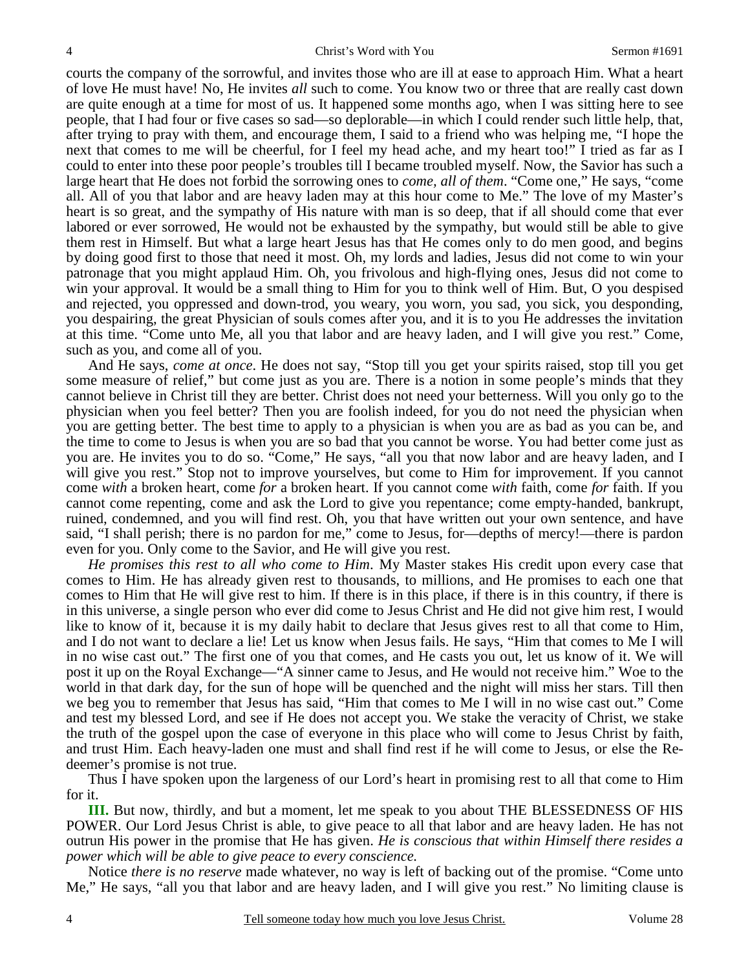courts the company of the sorrowful, and invites those who are ill at ease to approach Him. What a heart of love He must have! No, He invites *all* such to come. You know two or three that are really cast down are quite enough at a time for most of us. It happened some months ago, when I was sitting here to see people, that I had four or five cases so sad—so deplorable—in which I could render such little help, that, after trying to pray with them, and encourage them, I said to a friend who was helping me, "I hope the next that comes to me will be cheerful, for I feel my head ache, and my heart too!" I tried as far as I could to enter into these poor people's troubles till I became troubled myself. Now, the Savior has such a large heart that He does not forbid the sorrowing ones to *come, all of them*. "Come one," He says, "come all. All of you that labor and are heavy laden may at this hour come to Me." The love of my Master's heart is so great, and the sympathy of His nature with man is so deep, that if all should come that ever labored or ever sorrowed, He would not be exhausted by the sympathy, but would still be able to give them rest in Himself. But what a large heart Jesus has that He comes only to do men good, and begins by doing good first to those that need it most. Oh, my lords and ladies, Jesus did not come to win your patronage that you might applaud Him. Oh, you frivolous and high-flying ones, Jesus did not come to win your approval. It would be a small thing to Him for you to think well of Him. But, O you despised and rejected, you oppressed and down-trod, you weary, you worn, you sad, you sick, you desponding, you despairing, the great Physician of souls comes after you, and it is to you He addresses the invitation at this time. "Come unto Me, all you that labor and are heavy laden, and I will give you rest." Come, such as you, and come all of you.

 And He says, *come at once*. He does not say, "Stop till you get your spirits raised, stop till you get some measure of relief," but come just as you are. There is a notion in some people's minds that they cannot believe in Christ till they are better. Christ does not need your betterness. Will you only go to the physician when you feel better? Then you are foolish indeed, for you do not need the physician when you are getting better. The best time to apply to a physician is when you are as bad as you can be, and the time to come to Jesus is when you are so bad that you cannot be worse. You had better come just as you are. He invites you to do so. "Come," He says, "all you that now labor and are heavy laden, and I will give you rest." Stop not to improve yourselves, but come to Him for improvement. If you cannot come *with* a broken heart, come *for* a broken heart. If you cannot come *with* faith, come *for* faith. If you cannot come repenting, come and ask the Lord to give you repentance; come empty-handed, bankrupt, ruined, condemned, and you will find rest. Oh, you that have written out your own sentence, and have said, "I shall perish; there is no pardon for me," come to Jesus, for—depths of mercy!—there is pardon even for you. Only come to the Savior, and He will give you rest.

*He promises this rest to all who come to Him*. My Master stakes His credit upon every case that comes to Him. He has already given rest to thousands, to millions, and He promises to each one that comes to Him that He will give rest to him. If there is in this place, if there is in this country, if there is in this universe, a single person who ever did come to Jesus Christ and He did not give him rest, I would like to know of it, because it is my daily habit to declare that Jesus gives rest to all that come to Him, and I do not want to declare a lie! Let us know when Jesus fails. He says, "Him that comes to Me I will in no wise cast out." The first one of you that comes, and He casts you out, let us know of it. We will post it up on the Royal Exchange—"A sinner came to Jesus, and He would not receive him." Woe to the world in that dark day, for the sun of hope will be quenched and the night will miss her stars. Till then we beg you to remember that Jesus has said, "Him that comes to Me I will in no wise cast out." Come and test my blessed Lord, and see if He does not accept you. We stake the veracity of Christ, we stake the truth of the gospel upon the case of everyone in this place who will come to Jesus Christ by faith, and trust Him. Each heavy-laden one must and shall find rest if he will come to Jesus, or else the Redeemer's promise is not true.

 Thus I have spoken upon the largeness of our Lord's heart in promising rest to all that come to Him for it.

**III.** But now, thirdly, and but a moment, let me speak to you about THE BLESSEDNESS OF HIS POWER. Our Lord Jesus Christ is able, to give peace to all that labor and are heavy laden. He has not outrun His power in the promise that He has given. *He is conscious that within Himself there resides a power which will be able to give peace to every conscience.* 

 Notice *there is no reserve* made whatever, no way is left of backing out of the promise. "Come unto Me," He says, "all you that labor and are heavy laden, and I will give you rest." No limiting clause is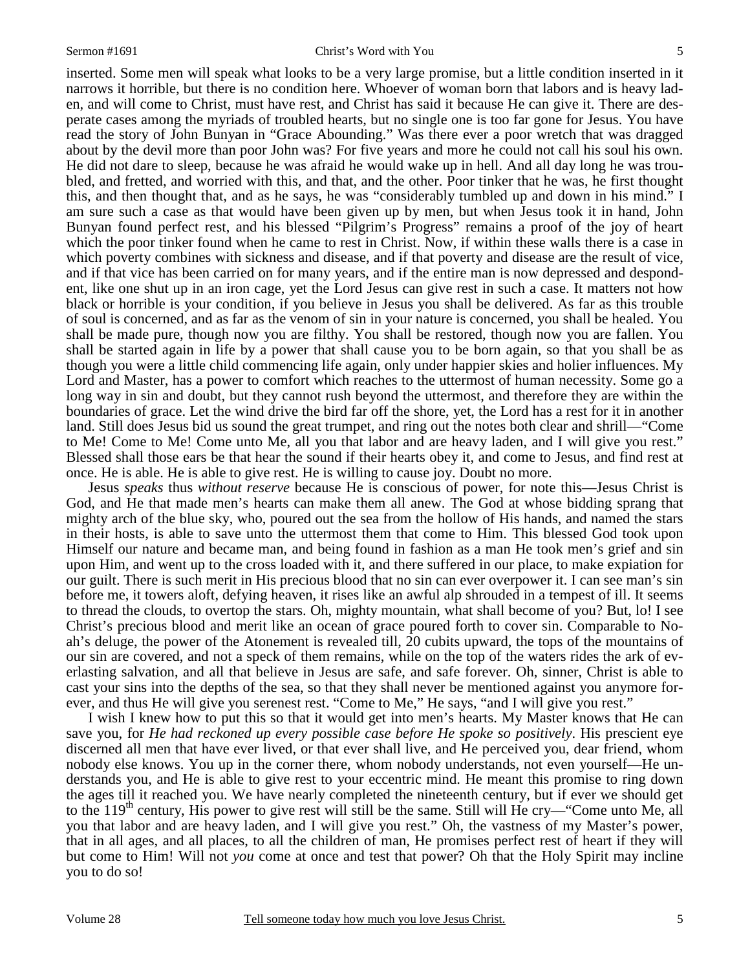inserted. Some men will speak what looks to be a very large promise, but a little condition inserted in it narrows it horrible, but there is no condition here. Whoever of woman born that labors and is heavy laden, and will come to Christ, must have rest, and Christ has said it because He can give it. There are desperate cases among the myriads of troubled hearts, but no single one is too far gone for Jesus. You have read the story of John Bunyan in "Grace Abounding." Was there ever a poor wretch that was dragged about by the devil more than poor John was? For five years and more he could not call his soul his own. He did not dare to sleep, because he was afraid he would wake up in hell. And all day long he was troubled, and fretted, and worried with this, and that, and the other. Poor tinker that he was, he first thought this, and then thought that, and as he says, he was "considerably tumbled up and down in his mind." I am sure such a case as that would have been given up by men, but when Jesus took it in hand, John Bunyan found perfect rest, and his blessed "Pilgrim's Progress" remains a proof of the joy of heart which the poor tinker found when he came to rest in Christ. Now, if within these walls there is a case in which poverty combines with sickness and disease, and if that poverty and disease are the result of vice, and if that vice has been carried on for many years, and if the entire man is now depressed and despondent, like one shut up in an iron cage, yet the Lord Jesus can give rest in such a case. It matters not how black or horrible is your condition, if you believe in Jesus you shall be delivered. As far as this trouble of soul is concerned, and as far as the venom of sin in your nature is concerned, you shall be healed. You shall be made pure, though now you are filthy. You shall be restored, though now you are fallen. You shall be started again in life by a power that shall cause you to be born again, so that you shall be as though you were a little child commencing life again, only under happier skies and holier influences. My Lord and Master, has a power to comfort which reaches to the uttermost of human necessity. Some go a long way in sin and doubt, but they cannot rush beyond the uttermost, and therefore they are within the boundaries of grace. Let the wind drive the bird far off the shore, yet, the Lord has a rest for it in another land. Still does Jesus bid us sound the great trumpet, and ring out the notes both clear and shrill—"Come to Me! Come to Me! Come unto Me, all you that labor and are heavy laden, and I will give you rest." Blessed shall those ears be that hear the sound if their hearts obey it, and come to Jesus, and find rest at once. He is able. He is able to give rest. He is willing to cause joy. Doubt no more.

 Jesus *speaks* thus *without reserve* because He is conscious of power, for note this—Jesus Christ is God, and He that made men's hearts can make them all anew. The God at whose bidding sprang that mighty arch of the blue sky, who, poured out the sea from the hollow of His hands, and named the stars in their hosts, is able to save unto the uttermost them that come to Him. This blessed God took upon Himself our nature and became man, and being found in fashion as a man He took men's grief and sin upon Him, and went up to the cross loaded with it, and there suffered in our place, to make expiation for our guilt. There is such merit in His precious blood that no sin can ever overpower it. I can see man's sin before me, it towers aloft, defying heaven, it rises like an awful alp shrouded in a tempest of ill. It seems to thread the clouds, to overtop the stars. Oh, mighty mountain, what shall become of you? But, lo! I see Christ's precious blood and merit like an ocean of grace poured forth to cover sin. Comparable to Noah's deluge, the power of the Atonement is revealed till, 20 cubits upward, the tops of the mountains of our sin are covered, and not a speck of them remains, while on the top of the waters rides the ark of everlasting salvation, and all that believe in Jesus are safe, and safe forever. Oh, sinner, Christ is able to cast your sins into the depths of the sea, so that they shall never be mentioned against you anymore forever, and thus He will give you serenest rest. "Come to Me," He says, "and I will give you rest."

 I wish I knew how to put this so that it would get into men's hearts. My Master knows that He can save you, for *He had reckoned up every possible case before He spoke so positively*. His prescient eye discerned all men that have ever lived, or that ever shall live, and He perceived you, dear friend, whom nobody else knows. You up in the corner there, whom nobody understands, not even yourself—He understands you, and He is able to give rest to your eccentric mind. He meant this promise to ring down the ages till it reached you. We have nearly completed the nineteenth century, but if ever we should get to the 119<sup>th</sup> century, His power to give rest will still be the same. Still will He cry—"Come unto Me, all you that labor and are heavy laden, and I will give you rest." Oh, the vastness of my Master's power, that in all ages, and all places, to all the children of man, He promises perfect rest of heart if they will but come to Him! Will not *you* come at once and test that power? Oh that the Holy Spirit may incline you to do so!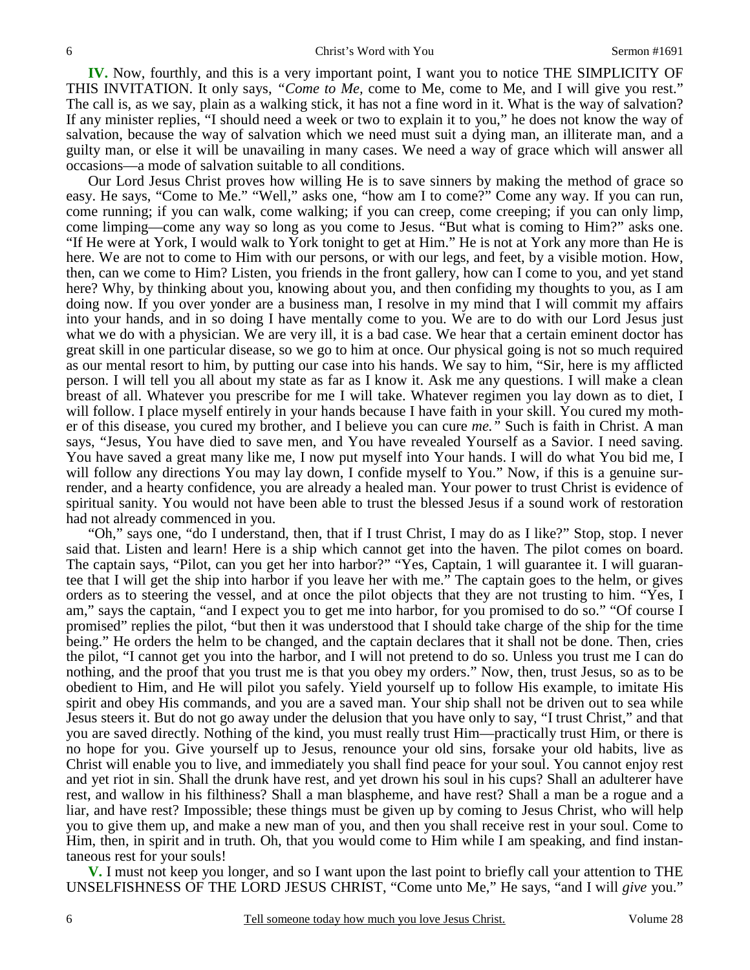**IV.** Now, fourthly, and this is a very important point, I want you to notice THE SIMPLICITY OF THIS INVITATION. It only says, *"Come to Me,* come to Me, come to Me, and I will give you rest." The call is, as we say, plain as a walking stick, it has not a fine word in it. What is the way of salvation? If any minister replies, "I should need a week or two to explain it to you," he does not know the way of salvation, because the way of salvation which we need must suit a dying man, an illiterate man, and a guilty man, or else it will be unavailing in many cases. We need a way of grace which will answer all occasions—a mode of salvation suitable to all conditions.

 Our Lord Jesus Christ proves how willing He is to save sinners by making the method of grace so easy. He says, "Come to Me." "Well," asks one, "how am I to come?" Come any way. If you can run, come running; if you can walk, come walking; if you can creep, come creeping; if you can only limp, come limping—come any way so long as you come to Jesus. "But what is coming to Him?" asks one. "If He were at York, I would walk to York tonight to get at Him." He is not at York any more than He is here. We are not to come to Him with our persons, or with our legs, and feet, by a visible motion. How, then, can we come to Him? Listen, you friends in the front gallery, how can I come to you, and yet stand here? Why, by thinking about you, knowing about you, and then confiding my thoughts to you, as I am doing now. If you over yonder are a business man, I resolve in my mind that I will commit my affairs into your hands, and in so doing I have mentally come to you. We are to do with our Lord Jesus just what we do with a physician. We are very ill, it is a bad case. We hear that a certain eminent doctor has great skill in one particular disease, so we go to him at once. Our physical going is not so much required as our mental resort to him, by putting our case into his hands. We say to him, "Sir, here is my afflicted person. I will tell you all about my state as far as I know it. Ask me any questions. I will make a clean breast of all. Whatever you prescribe for me I will take. Whatever regimen you lay down as to diet, I will follow. I place myself entirely in your hands because I have faith in your skill. You cured my mother of this disease, you cured my brother, and I believe you can cure *me."* Such is faith in Christ. A man says, "Jesus, You have died to save men, and You have revealed Yourself as a Savior. I need saving. You have saved a great many like me, I now put myself into Your hands. I will do what You bid me, I will follow any directions You may lay down, I confide myself to You." Now, if this is a genuine surrender, and a hearty confidence, you are already a healed man. Your power to trust Christ is evidence of spiritual sanity. You would not have been able to trust the blessed Jesus if a sound work of restoration had not already commenced in you.

 "Oh," says one, "do I understand, then, that if I trust Christ, I may do as I like?" Stop, stop. I never said that. Listen and learn! Here is a ship which cannot get into the haven. The pilot comes on board. The captain says, "Pilot, can you get her into harbor?" "Yes, Captain, 1 will guarantee it. I will guarantee that I will get the ship into harbor if you leave her with me." The captain goes to the helm, or gives orders as to steering the vessel, and at once the pilot objects that they are not trusting to him. "Yes, I am," says the captain, "and I expect you to get me into harbor, for you promised to do so." "Of course I promised" replies the pilot, "but then it was understood that I should take charge of the ship for the time being." He orders the helm to be changed, and the captain declares that it shall not be done. Then, cries the pilot, "I cannot get you into the harbor, and I will not pretend to do so. Unless you trust me I can do nothing, and the proof that you trust me is that you obey my orders." Now, then, trust Jesus, so as to be obedient to Him, and He will pilot you safely. Yield yourself up to follow His example, to imitate His spirit and obey His commands, and you are a saved man. Your ship shall not be driven out to sea while Jesus steers it. But do not go away under the delusion that you have only to say, "I trust Christ," and that you are saved directly. Nothing of the kind, you must really trust Him—practically trust Him, or there is no hope for you. Give yourself up to Jesus, renounce your old sins, forsake your old habits, live as Christ will enable you to live, and immediately you shall find peace for your soul. You cannot enjoy rest and yet riot in sin. Shall the drunk have rest, and yet drown his soul in his cups? Shall an adulterer have rest, and wallow in his filthiness? Shall a man blaspheme, and have rest? Shall a man be a rogue and a liar, and have rest? Impossible; these things must be given up by coming to Jesus Christ, who will help you to give them up, and make a new man of you, and then you shall receive rest in your soul. Come to Him, then, in spirit and in truth. Oh, that you would come to Him while I am speaking, and find instantaneous rest for your souls!

**V.** I must not keep you longer, and so I want upon the last point to briefly call your attention to THE UNSELFISHNESS OF THE LORD JESUS CHRIST, "Come unto Me," He says, "and I will *give* you."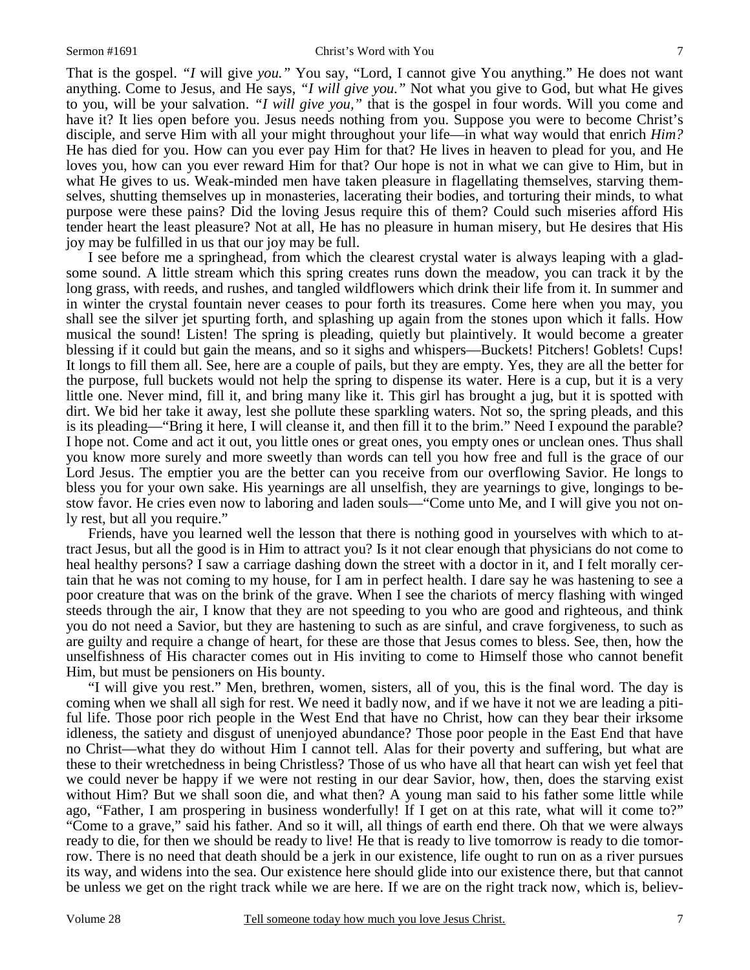That is the gospel. *"I* will give *you."* You say, "Lord, I cannot give You anything." He does not want anything. Come to Jesus, and He says, *"I will give you."* Not what you give to God, but what He gives to you, will be your salvation. *"I will give you,"* that is the gospel in four words. Will you come and have it? It lies open before you. Jesus needs nothing from you. Suppose you were to become Christ's disciple, and serve Him with all your might throughout your life—in what way would that enrich *Him?* He has died for you. How can you ever pay Him for that? He lives in heaven to plead for you, and He loves you, how can you ever reward Him for that? Our hope is not in what we can give to Him, but in what He gives to us. Weak-minded men have taken pleasure in flagellating themselves, starving themselves, shutting themselves up in monasteries, lacerating their bodies, and torturing their minds, to what purpose were these pains? Did the loving Jesus require this of them? Could such miseries afford His tender heart the least pleasure? Not at all, He has no pleasure in human misery, but He desires that His joy may be fulfilled in us that our joy may be full.

 I see before me a springhead, from which the clearest crystal water is always leaping with a gladsome sound. A little stream which this spring creates runs down the meadow, you can track it by the long grass, with reeds, and rushes, and tangled wildflowers which drink their life from it. In summer and in winter the crystal fountain never ceases to pour forth its treasures. Come here when you may, you shall see the silver jet spurting forth, and splashing up again from the stones upon which it falls. How musical the sound! Listen! The spring is pleading, quietly but plaintively. It would become a greater blessing if it could but gain the means, and so it sighs and whispers—Buckets! Pitchers! Goblets! Cups! It longs to fill them all. See, here are a couple of pails, but they are empty. Yes, they are all the better for the purpose, full buckets would not help the spring to dispense its water. Here is a cup, but it is a very little one. Never mind, fill it, and bring many like it. This girl has brought a jug, but it is spotted with dirt. We bid her take it away, lest she pollute these sparkling waters. Not so, the spring pleads, and this is its pleading—"Bring it here, I will cleanse it, and then fill it to the brim." Need I expound the parable? I hope not. Come and act it out, you little ones or great ones, you empty ones or unclean ones. Thus shall you know more surely and more sweetly than words can tell you how free and full is the grace of our Lord Jesus. The emptier you are the better can you receive from our overflowing Savior. He longs to bless you for your own sake. His yearnings are all unselfish, they are yearnings to give, longings to bestow favor. He cries even now to laboring and laden souls—"Come unto Me, and I will give you not only rest, but all you require."

 Friends, have you learned well the lesson that there is nothing good in yourselves with which to attract Jesus, but all the good is in Him to attract you? Is it not clear enough that physicians do not come to heal healthy persons? I saw a carriage dashing down the street with a doctor in it, and I felt morally certain that he was not coming to my house, for I am in perfect health. I dare say he was hastening to see a poor creature that was on the brink of the grave. When I see the chariots of mercy flashing with winged steeds through the air, I know that they are not speeding to you who are good and righteous, and think you do not need a Savior, but they are hastening to such as are sinful, and crave forgiveness, to such as are guilty and require a change of heart, for these are those that Jesus comes to bless. See, then, how the unselfishness of His character comes out in His inviting to come to Himself those who cannot benefit Him, but must be pensioners on His bounty.

 "I will give you rest." Men, brethren, women, sisters, all of you, this is the final word. The day is coming when we shall all sigh for rest. We need it badly now, and if we have it not we are leading a pitiful life. Those poor rich people in the West End that have no Christ, how can they bear their irksome idleness, the satiety and disgust of unenjoyed abundance? Those poor people in the East End that have no Christ—what they do without Him I cannot tell. Alas for their poverty and suffering, but what are these to their wretchedness in being Christless? Those of us who have all that heart can wish yet feel that we could never be happy if we were not resting in our dear Savior, how, then, does the starving exist without Him? But we shall soon die, and what then? A young man said to his father some little while ago, "Father, I am prospering in business wonderfully! If I get on at this rate, what will it come to?" "Come to a grave," said his father. And so it will, all things of earth end there. Oh that we were always ready to die, for then we should be ready to live! He that is ready to live tomorrow is ready to die tomorrow. There is no need that death should be a jerk in our existence, life ought to run on as a river pursues its way, and widens into the sea. Our existence here should glide into our existence there, but that cannot be unless we get on the right track while we are here. If we are on the right track now, which is, believ